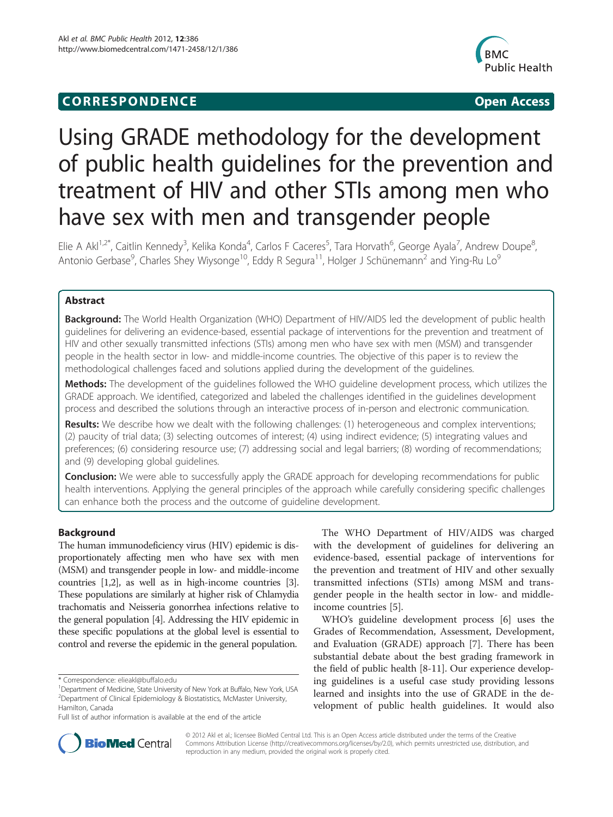## **CORRESPONDENCE CORRESPONDENCE**



# Using GRADE methodology for the development of public health guidelines for the prevention and treatment of HIV and other STIs among men who have sex with men and transgender people

Elie A Akl<sup>1,2\*</sup>, Caitlin Kennedy<sup>3</sup>, Kelika Konda<sup>4</sup>, Carlos F Caceres<sup>5</sup>, Tara Horvath<sup>6</sup>, George Ayala<sup>7</sup>, Andrew Doupe<sup>8</sup> , Antonio Gerbase<sup>9</sup>, Charles Shey Wiysonge<sup>10</sup>, Eddy R Segura<sup>11</sup>, Holger J Schünemann<sup>2</sup> and Ying-Ru Lo<sup>9</sup>

## Abstract

Background: The World Health Organization (WHO) Department of HIV/AIDS led the development of public health guidelines for delivering an evidence-based, essential package of interventions for the prevention and treatment of HIV and other sexually transmitted infections (STIs) among men who have sex with men (MSM) and transgender people in the health sector in low- and middle-income countries. The objective of this paper is to review the methodological challenges faced and solutions applied during the development of the guidelines.

Methods: The development of the quidelines followed the WHO quideline development process, which utilizes the GRADE approach. We identified, categorized and labeled the challenges identified in the guidelines development process and described the solutions through an interactive process of in-person and electronic communication.

Results: We describe how we dealt with the following challenges: (1) heterogeneous and complex interventions; (2) paucity of trial data; (3) selecting outcomes of interest; (4) using indirect evidence; (5) integrating values and preferences; (6) considering resource use; (7) addressing social and legal barriers; (8) wording of recommendations; and (9) developing global guidelines.

**Conclusion:** We were able to successfully apply the GRADE approach for developing recommendations for public health interventions. Applying the general principles of the approach while carefully considering specific challenges can enhance both the process and the outcome of guideline development.

## Background

The human immunodeficiency virus (HIV) epidemic is disproportionately affecting men who have sex with men (MSM) and transgender people in low- and middle-income countries [\[1,2](#page-7-0)], as well as in high-income countries [[3](#page-7-0)]. These populations are similarly at higher risk of Chlamydia trachomatis and Neisseria gonorrhea infections relative to the general population [[4](#page-7-0)]. Addressing the HIV epidemic in these specific populations at the global level is essential to control and reverse the epidemic in the general population.

The WHO Department of HIV/AIDS was charged with the development of guidelines for delivering an evidence-based, essential package of interventions for the prevention and treatment of HIV and other sexually transmitted infections (STIs) among MSM and transgender people in the health sector in low- and middleincome countries [[5\]](#page-8-0).

WHO's guideline development process [[6\]](#page-8-0) uses the Grades of Recommendation, Assessment, Development, and Evaluation (GRADE) approach [\[7\]](#page-8-0). There has been substantial debate about the best grading framework in the field of public health [[8-11](#page-8-0)]. Our experience developing guidelines is a useful case study providing lessons learned and insights into the use of GRADE in the development of public health guidelines. It would also



© 2012 Akl et al.; licensee BioMed Central Ltd. This is an Open Access article distributed under the terms of the Creative Commons Attribution License [\(http://creativecommons.org/licenses/by/2.0\)](http://creativecommons.org/licenses/by/2.0), which permits unrestricted use, distribution, and reproduction in any medium, provided the original work is properly cited.

<sup>\*</sup> Correspondence: [elieakl@buffalo.edu](mailto:elieakl@buffalo.edu) <sup>1</sup>

<sup>&</sup>lt;sup>1</sup> Department of Medicine, State University of New York at Buffalo, New York, USA <sup>2</sup> Department of Clinical Epidemiology & Biostatistics, McMaster University, Hamilton, Canada

Full list of author information is available at the end of the article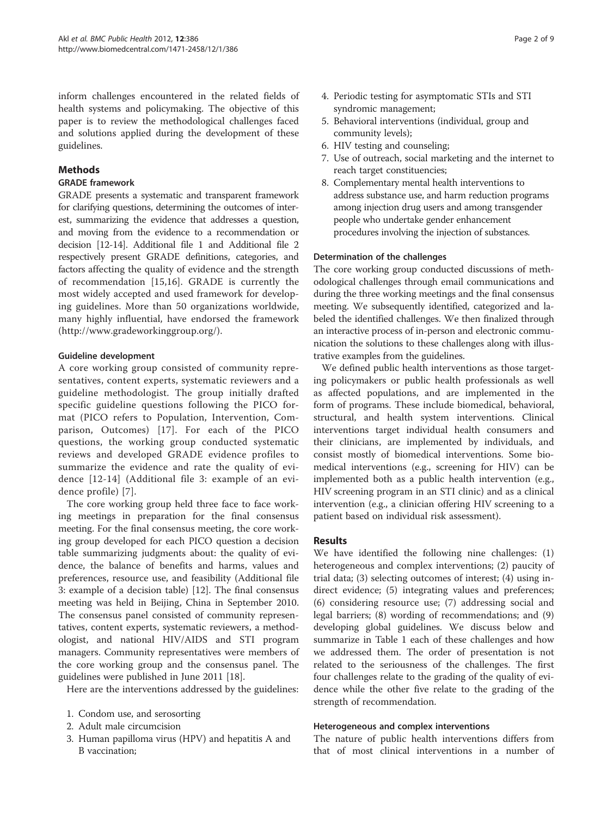inform challenges encountered in the related fields of health systems and policymaking. The objective of this paper is to review the methodological challenges faced and solutions applied during the development of these guidelines.

## Methods

## GRADE framework

GRADE presents a systematic and transparent framework for clarifying questions, determining the outcomes of interest, summarizing the evidence that addresses a question, and moving from the evidence to a recommendation or decision [\[12](#page-8-0)-[14](#page-8-0)]. [Additional file 1](#page-7-0) and [Additional file 2](#page-7-0) respectively present GRADE definitions, categories, and factors affecting the quality of evidence and the strength of recommendation [[15,16](#page-8-0)]. GRADE is currently the most widely accepted and used framework for developing guidelines. More than 50 organizations worldwide, many highly influential, have endorsed the framework ([http://www.gradeworkinggroup.org/\)](http://www.gradeworkinggroup.org/).

## Guideline development

A core working group consisted of community representatives, content experts, systematic reviewers and a guideline methodologist. The group initially drafted specific guideline questions following the PICO format (PICO refers to Population, Intervention, Comparison, Outcomes) [\[17\]](#page-8-0). For each of the PICO questions, the working group conducted systematic reviews and developed GRADE evidence profiles to summarize the evidence and rate the quality of evidence [[12](#page-8-0)-[14](#page-8-0)] ([Additional file 3:](#page-7-0) example of an evidence profile) [[7](#page-8-0)].

The core working group held three face to face working meetings in preparation for the final consensus meeting. For the final consensus meeting, the core working group developed for each PICO question a decision table summarizing judgments about: the quality of evidence, the balance of benefits and harms, values and preferences, resource use, and feasibility [\(Additional file](#page-7-0) [3:](#page-7-0) example of a decision table) [[12\]](#page-8-0). The final consensus meeting was held in Beijing, China in September 2010. The consensus panel consisted of community representatives, content experts, systematic reviewers, a methodologist, and national HIV/AIDS and STI program managers. Community representatives were members of the core working group and the consensus panel. The guidelines were published in June 2011 [\[18\]](#page-8-0).

Here are the interventions addressed by the guidelines:

- 1. Condom use, and serosorting
- 2. Adult male circumcision
- 3. Human papilloma virus (HPV) and hepatitis A and B vaccination;
- 4. Periodic testing for asymptomatic STIs and STI syndromic management;
- 5. Behavioral interventions (individual, group and community levels);
- 6. HIV testing and counseling;
- 7. Use of outreach, social marketing and the internet to reach target constituencies;
- 8. Complementary mental health interventions to address substance use, and harm reduction programs among injection drug users and among transgender people who undertake gender enhancement procedures involving the injection of substances.

## Determination of the challenges

The core working group conducted discussions of methodological challenges through email communications and during the three working meetings and the final consensus meeting. We subsequently identified, categorized and labeled the identified challenges. We then finalized through an interactive process of in-person and electronic communication the solutions to these challenges along with illustrative examples from the guidelines.

We defined public health interventions as those targeting policymakers or public health professionals as well as affected populations, and are implemented in the form of programs. These include biomedical, behavioral, structural, and health system interventions. Clinical interventions target individual health consumers and their clinicians, are implemented by individuals, and consist mostly of biomedical interventions. Some biomedical interventions (e.g., screening for HIV) can be implemented both as a public health intervention (e.g., HIV screening program in an STI clinic) and as a clinical intervention (e.g., a clinician offering HIV screening to a patient based on individual risk assessment).

#### Results

We have identified the following nine challenges: (1) heterogeneous and complex interventions; (2) paucity of trial data; (3) selecting outcomes of interest; (4) using indirect evidence; (5) integrating values and preferences; (6) considering resource use; (7) addressing social and legal barriers; (8) wording of recommendations; and (9) developing global guidelines. We discuss below and summarize in Table [1](#page-2-0) each of these challenges and how we addressed them. The order of presentation is not related to the seriousness of the challenges. The first four challenges relate to the grading of the quality of evidence while the other five relate to the grading of the strength of recommendation.

#### Heterogeneous and complex interventions

The nature of public health interventions differs from that of most clinical interventions in a number of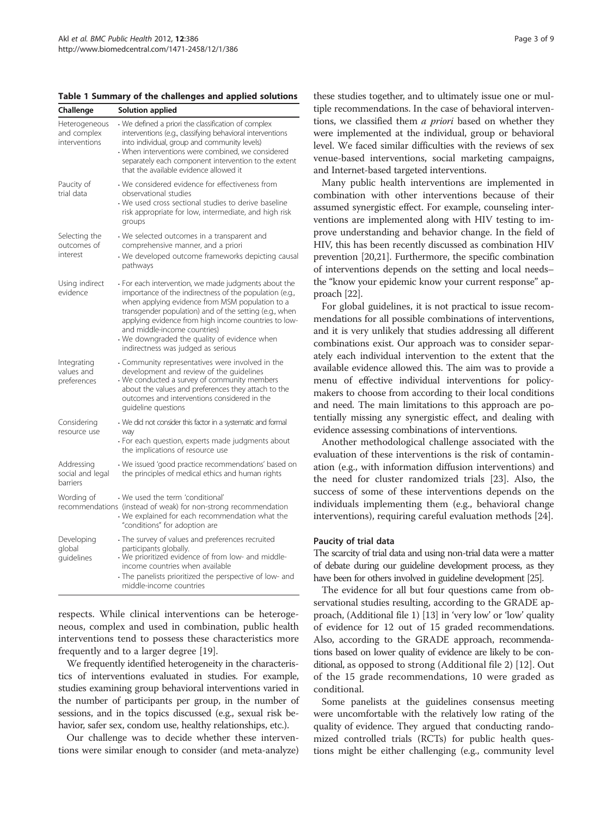<span id="page-2-0"></span>Table 1 Summary of the challenges and applied solutions

| Challenge                                     | Solution applied                                                                                                                                                                                                                                                                                                                                                                                         |  |
|-----------------------------------------------|----------------------------------------------------------------------------------------------------------------------------------------------------------------------------------------------------------------------------------------------------------------------------------------------------------------------------------------------------------------------------------------------------------|--|
| Heterogeneous<br>and complex<br>interventions | • We defined a priori the classification of complex<br>interventions (e.g., classifying behavioral interventions<br>into individual, group and community levels)<br>• When interventions were combined, we considered<br>separately each component intervention to the extent<br>that the available evidence allowed it                                                                                  |  |
| Paucity of<br>trial data                      | · We considered evidence for effectiveness from<br>observational studies<br>We used cross sectional studies to derive baseline<br>risk appropriate for low, intermediate, and high risk<br>groups                                                                                                                                                                                                        |  |
| Selecting the<br>outcomes of<br>interest      | We selected outcomes in a transparent and<br>comprehensive manner, and a priori<br>We developed outcome frameworks depicting causal<br>pathways                                                                                                                                                                                                                                                          |  |
| Using indirect<br>evidence                    | · For each intervention, we made judgments about the<br>importance of the indirectness of the population (e.g.,<br>when applying evidence from MSM population to a<br>transgender population) and of the setting (e.g., when<br>applying evidence from high income countries to low-<br>and middle-income countries)<br>We downgraded the quality of evidence when<br>indirectness was judged as serious |  |
| Integrating<br>values and<br>preferences      | Community representatives were involved in the<br>development and review of the guidelines<br>• We conducted a survey of community members<br>about the values and preferences they attach to the<br>outcomes and interventions considered in the<br>quideline questions                                                                                                                                 |  |
| Considering<br>resource use                   | • We did not consider this factor in a systematic and formal<br>way                                                                                                                                                                                                                                                                                                                                      |  |
|                                               | · For each question, experts made judgments about<br>the implications of resource use                                                                                                                                                                                                                                                                                                                    |  |
| Addressing<br>social and legal<br>barriers    | We issued 'good practice recommendations' based on<br>the principles of medical ethics and human rights                                                                                                                                                                                                                                                                                                  |  |
| Wording of                                    | We used the term 'conditional'<br>recommendations (instead of weak) for non-strong recommendation<br>We explained for each recommendation what the<br>"conditions" for adoption are                                                                                                                                                                                                                      |  |
| Developing<br>global<br>guidelines            | · The survey of values and preferences recruited<br>participants globally.<br>. We prioritized evidence of from low- and middle-<br>income countries when available<br>The panelists prioritized the perspective of low- and<br>middle-income countries                                                                                                                                                  |  |

respects. While clinical interventions can be heterogeneous, complex and used in combination, public health interventions tend to possess these characteristics more frequently and to a larger degree [[19\]](#page-8-0).

We frequently identified heterogeneity in the characteristics of interventions evaluated in studies. For example, studies examining group behavioral interventions varied in the number of participants per group, in the number of sessions, and in the topics discussed (e.g., sexual risk behavior, safer sex, condom use, healthy relationships, etc.).

Our challenge was to decide whether these interventions were similar enough to consider (and meta-analyze)

these studies together, and to ultimately issue one or multiple recommendations. In the case of behavioral interventions, we classified them a priori based on whether they were implemented at the individual, group or behavioral level. We faced similar difficulties with the reviews of sex venue-based interventions, social marketing campaigns, and Internet-based targeted interventions.

Many public health interventions are implemented in combination with other interventions because of their assumed synergistic effect. For example, counseling interventions are implemented along with HIV testing to improve understanding and behavior change. In the field of HIV, this has been recently discussed as combination HIV prevention [\[20,21](#page-8-0)]. Furthermore, the specific combination of interventions depends on the setting and local needs– the "know your epidemic know your current response" approach [[22](#page-8-0)].

For global guidelines, it is not practical to issue recommendations for all possible combinations of interventions, and it is very unlikely that studies addressing all different combinations exist. Our approach was to consider separately each individual intervention to the extent that the available evidence allowed this. The aim was to provide a menu of effective individual interventions for policymakers to choose from according to their local conditions and need. The main limitations to this approach are potentially missing any synergistic effect, and dealing with evidence assessing combinations of interventions.

Another methodological challenge associated with the evaluation of these interventions is the risk of contamination (e.g., with information diffusion interventions) and the need for cluster randomized trials [\[23](#page-8-0)]. Also, the success of some of these interventions depends on the individuals implementing them (e.g., behavioral change interventions), requiring careful evaluation methods [[24](#page-8-0)].

#### Paucity of trial data

The scarcity of trial data and using non-trial data were a matter of debate during our guideline development process, as they have been for others involved in guideline development [\[25\]](#page-8-0).

The evidence for all but four questions came from observational studies resulting, according to the GRADE approach, [\(Additional file 1\)](#page-7-0) [\[13](#page-8-0)] in 'very low' or 'low' quality of evidence for 12 out of 15 graded recommendations. Also, according to the GRADE approach, recommendations based on lower quality of evidence are likely to be conditional, as opposed to strong ([Additional file 2](#page-7-0)) [\[12](#page-8-0)]. Out of the 15 grade recommendations, 10 were graded as conditional.

Some panelists at the guidelines consensus meeting were uncomfortable with the relatively low rating of the quality of evidence. They argued that conducting randomized controlled trials (RCTs) for public health questions might be either challenging (e.g., community level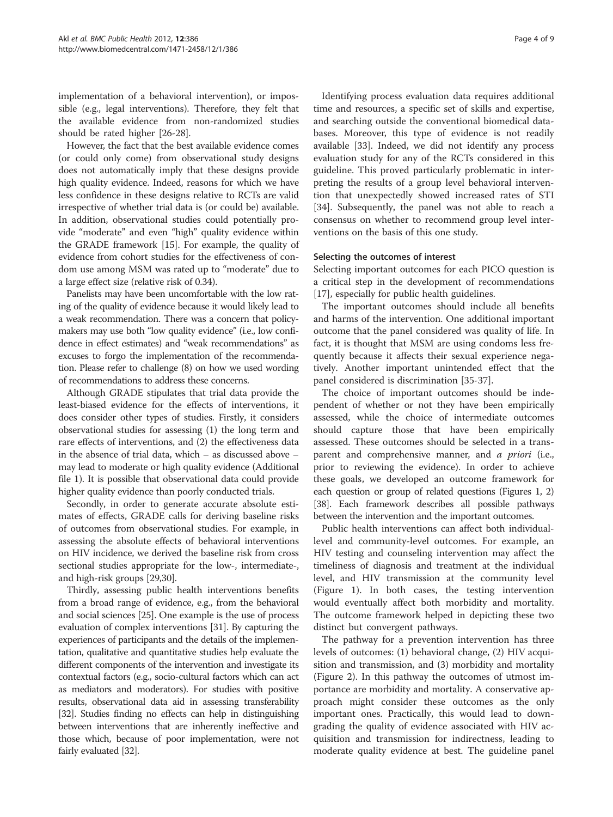implementation of a behavioral intervention), or impossible (e.g., legal interventions). Therefore, they felt that the available evidence from non-randomized studies should be rated higher [\[26](#page-8-0)-[28](#page-8-0)].

However, the fact that the best available evidence comes (or could only come) from observational study designs does not automatically imply that these designs provide high quality evidence. Indeed, reasons for which we have less confidence in these designs relative to RCTs are valid irrespective of whether trial data is (or could be) available. In addition, observational studies could potentially provide "moderate" and even "high" quality evidence within the GRADE framework [\[15\]](#page-8-0). For example, the quality of evidence from cohort studies for the effectiveness of condom use among MSM was rated up to "moderate" due to a large effect size (relative risk of 0.34).

Panelists may have been uncomfortable with the low rating of the quality of evidence because it would likely lead to a weak recommendation. There was a concern that policymakers may use both "low quality evidence" (i.e., low confidence in effect estimates) and "weak recommendations" as excuses to forgo the implementation of the recommendation. Please refer to challenge (8) on how we used wording of recommendations to address these concerns.

Although GRADE stipulates that trial data provide the least-biased evidence for the effects of interventions, it does consider other types of studies. Firstly, it considers observational studies for assessing (1) the long term and rare effects of interventions, and (2) the effectiveness data in the absence of trial data, which – as discussed above – may lead to moderate or high quality evidence [\(Additional](#page-7-0) [file 1\)](#page-7-0). It is possible that observational data could provide higher quality evidence than poorly conducted trials.

Secondly, in order to generate accurate absolute estimates of effects, GRADE calls for deriving baseline risks of outcomes from observational studies. For example, in assessing the absolute effects of behavioral interventions on HIV incidence, we derived the baseline risk from cross sectional studies appropriate for the low-, intermediate-, and high-risk groups [\[29,30\]](#page-8-0).

Thirdly, assessing public health interventions benefits from a broad range of evidence, e.g., from the behavioral and social sciences [\[25\]](#page-8-0). One example is the use of process evaluation of complex interventions [\[31\]](#page-8-0). By capturing the experiences of participants and the details of the implementation, qualitative and quantitative studies help evaluate the different components of the intervention and investigate its contextual factors (e.g., socio-cultural factors which can act as mediators and moderators). For studies with positive results, observational data aid in assessing transferability [[32](#page-8-0)]. Studies finding no effects can help in distinguishing between interventions that are inherently ineffective and those which, because of poor implementation, were not fairly evaluated [\[32](#page-8-0)].

Identifying process evaluation data requires additional time and resources, a specific set of skills and expertise, and searching outside the conventional biomedical databases. Moreover, this type of evidence is not readily available [\[33](#page-8-0)]. Indeed, we did not identify any process evaluation study for any of the RCTs considered in this guideline. This proved particularly problematic in interpreting the results of a group level behavioral intervention that unexpectedly showed increased rates of STI [[34\]](#page-8-0). Subsequently, the panel was not able to reach a consensus on whether to recommend group level interventions on the basis of this one study.

## Selecting the outcomes of interest

Selecting important outcomes for each PICO question is a critical step in the development of recommendations [[17\]](#page-8-0), especially for public health guidelines.

The important outcomes should include all benefits and harms of the intervention. One additional important outcome that the panel considered was quality of life. In fact, it is thought that MSM are using condoms less frequently because it affects their sexual experience negatively. Another important unintended effect that the panel considered is discrimination [\[35-37](#page-8-0)].

The choice of important outcomes should be independent of whether or not they have been empirically assessed, while the choice of intermediate outcomes should capture those that have been empirically assessed. These outcomes should be selected in a transparent and comprehensive manner, and *a priori* (i.e., prior to reviewing the evidence). In order to achieve these goals, we developed an outcome framework for each question or group of related questions (Figures [1, 2](#page-4-0)) [[38](#page-8-0)]. Each framework describes all possible pathways between the intervention and the important outcomes.

Public health interventions can affect both individuallevel and community-level outcomes. For example, an HIV testing and counseling intervention may affect the timeliness of diagnosis and treatment at the individual level, and HIV transmission at the community level (Figure [1](#page-4-0)). In both cases, the testing intervention would eventually affect both morbidity and mortality. The outcome framework helped in depicting these two distinct but convergent pathways.

The pathway for a prevention intervention has three levels of outcomes: (1) behavioral change, (2) HIV acquisition and transmission, and (3) morbidity and mortality (Figure [2](#page-4-0)). In this pathway the outcomes of utmost importance are morbidity and mortality. A conservative approach might consider these outcomes as the only important ones. Practically, this would lead to downgrading the quality of evidence associated with HIV acquisition and transmission for indirectness, leading to moderate quality evidence at best. The guideline panel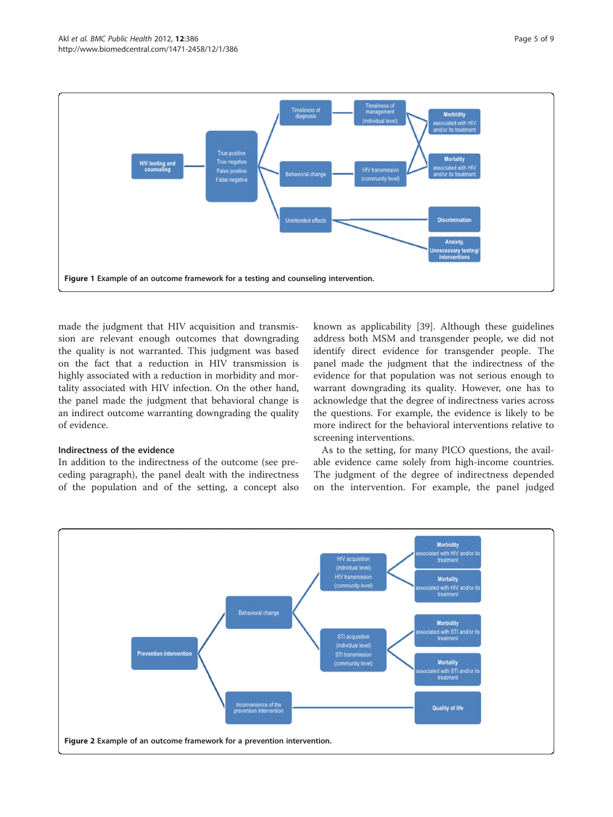<span id="page-4-0"></span>

made the judgment that HIV acquisition and transmission are relevant enough outcomes that downgrading the quality is not warranted. This judgment was based on the fact that a reduction in HIV transmission is highly associated with a reduction in morbidity and mortality associated with HIV infection. On the other hand, the panel made the judgment that behavioral change is an indirect outcome warranting downgrading the quality of evidence.

## Indirectness of the evidence

In addition to the indirectness of the outcome (see preceding paragraph), the panel dealt with the indirectness of the population and of the setting, a concept also known as applicability [[39\]](#page-8-0). Although these guidelines address both MSM and transgender people, we did not identify direct evidence for transgender people. The panel made the judgment that the indirectness of the evidence for that population was not serious enough to warrant downgrading its quality. However, one has to acknowledge that the degree of indirectness varies across the questions. For example, the evidence is likely to be more indirect for the behavioral interventions relative to screening interventions.

As to the setting, for many PICO questions, the available evidence came solely from high-income countries. The judgment of the degree of indirectness depended on the intervention. For example, the panel judged

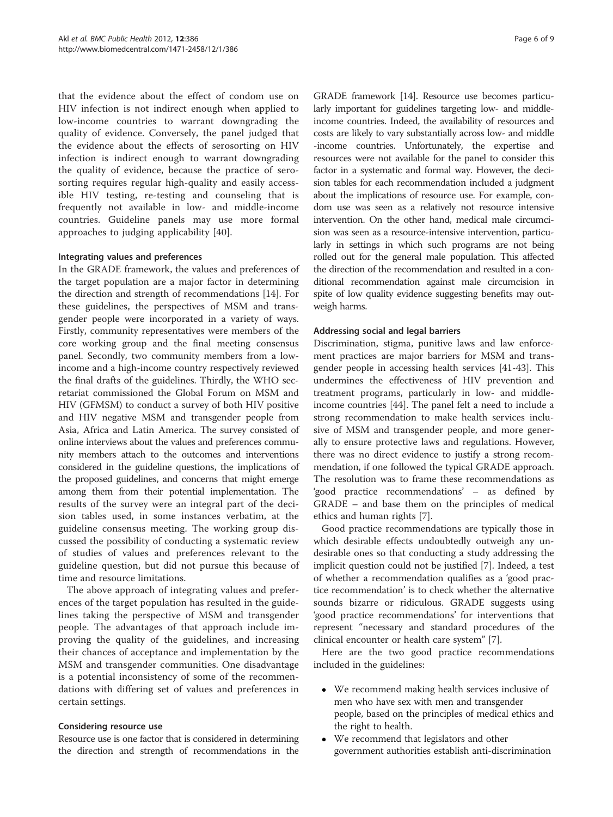that the evidence about the effect of condom use on HIV infection is not indirect enough when applied to low-income countries to warrant downgrading the quality of evidence. Conversely, the panel judged that the evidence about the effects of serosorting on HIV infection is indirect enough to warrant downgrading the quality of evidence, because the practice of serosorting requires regular high-quality and easily accessible HIV testing, re-testing and counseling that is frequently not available in low- and middle-income countries. Guideline panels may use more formal approaches to judging applicability [\[40](#page-8-0)].

#### Integrating values and preferences

In the GRADE framework, the values and preferences of the target population are a major factor in determining the direction and strength of recommendations [\[14](#page-8-0)]. For these guidelines, the perspectives of MSM and transgender people were incorporated in a variety of ways. Firstly, community representatives were members of the core working group and the final meeting consensus panel. Secondly, two community members from a lowincome and a high-income country respectively reviewed the final drafts of the guidelines. Thirdly, the WHO secretariat commissioned the Global Forum on MSM and HIV (GFMSM) to conduct a survey of both HIV positive and HIV negative MSM and transgender people from Asia, Africa and Latin America. The survey consisted of online interviews about the values and preferences community members attach to the outcomes and interventions considered in the guideline questions, the implications of the proposed guidelines, and concerns that might emerge among them from their potential implementation. The results of the survey were an integral part of the decision tables used, in some instances verbatim, at the guideline consensus meeting. The working group discussed the possibility of conducting a systematic review of studies of values and preferences relevant to the guideline question, but did not pursue this because of time and resource limitations.

The above approach of integrating values and preferences of the target population has resulted in the guidelines taking the perspective of MSM and transgender people. The advantages of that approach include improving the quality of the guidelines, and increasing their chances of acceptance and implementation by the MSM and transgender communities. One disadvantage is a potential inconsistency of some of the recommendations with differing set of values and preferences in certain settings.

#### Considering resource use

Resource use is one factor that is considered in determining the direction and strength of recommendations in the

GRADE framework [[14](#page-8-0)]. Resource use becomes particularly important for guidelines targeting low- and middleincome countries. Indeed, the availability of resources and costs are likely to vary substantially across low- and middle -income countries. Unfortunately, the expertise and resources were not available for the panel to consider this factor in a systematic and formal way. However, the decision tables for each recommendation included a judgment about the implications of resource use. For example, condom use was seen as a relatively not resource intensive intervention. On the other hand, medical male circumcision was seen as a resource-intensive intervention, particularly in settings in which such programs are not being rolled out for the general male population. This affected the direction of the recommendation and resulted in a conditional recommendation against male circumcision in spite of low quality evidence suggesting benefits may outweigh harms.

#### Addressing social and legal barriers

Discrimination, stigma, punitive laws and law enforcement practices are major barriers for MSM and transgender people in accessing health services [\[41-43](#page-8-0)]. This undermines the effectiveness of HIV prevention and treatment programs, particularly in low- and middleincome countries [[44\]](#page-8-0). The panel felt a need to include a strong recommendation to make health services inclusive of MSM and transgender people, and more generally to ensure protective laws and regulations. However, there was no direct evidence to justify a strong recommendation, if one followed the typical GRADE approach. The resolution was to frame these recommendations as 'good practice recommendations' – as defined by GRADE – and base them on the principles of medical ethics and human rights [\[7](#page-8-0)].

Good practice recommendations are typically those in which desirable effects undoubtedly outweigh any undesirable ones so that conducting a study addressing the implicit question could not be justified [\[7](#page-8-0)]. Indeed, a test of whether a recommendation qualifies as a 'good practice recommendation' is to check whether the alternative sounds bizarre or ridiculous. GRADE suggests using 'good practice recommendations' for interventions that represent "necessary and standard procedures of the clinical encounter or health care system" [[7\]](#page-8-0).

Here are the two good practice recommendations included in the guidelines:

- We recommend making health services inclusive of men who have sex with men and transgender people, based on the principles of medical ethics and the right to health.
- We recommend that legislators and other government authorities establish anti-discrimination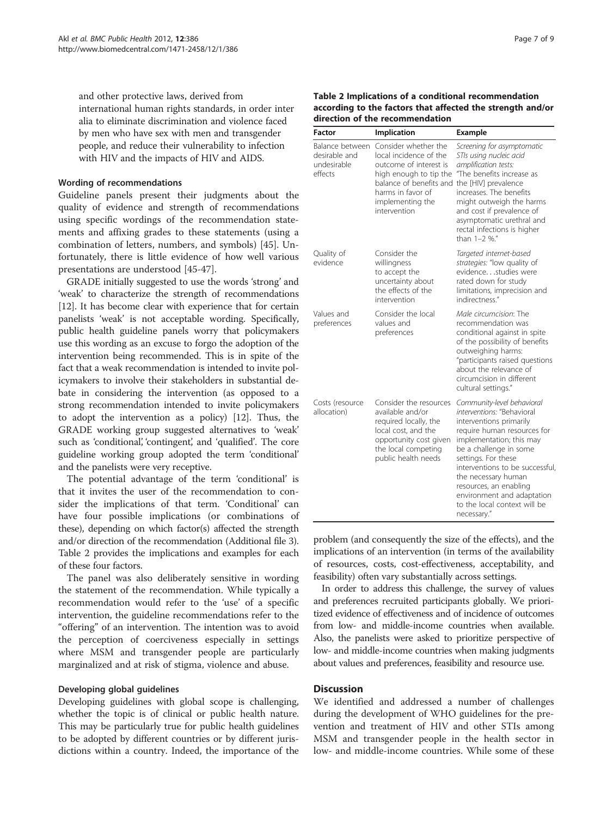and other protective laws, derived from international human rights standards, in order inter alia to eliminate discrimination and violence faced by men who have sex with men and transgender people, and reduce their vulnerability to infection with HIV and the impacts of HIV and AIDS.

#### Wording of recommendations

Guideline panels present their judgments about the quality of evidence and strength of recommendations using specific wordings of the recommendation statements and affixing grades to these statements (using a combination of letters, numbers, and symbols) [[45\]](#page-8-0). Unfortunately, there is little evidence of how well various presentations are understood [\[45-47](#page-8-0)].

GRADE initially suggested to use the words 'strong' and 'weak' to characterize the strength of recommendations [[12](#page-8-0)]. It has become clear with experience that for certain panelists 'weak' is not acceptable wording. Specifically, public health guideline panels worry that policymakers use this wording as an excuse to forgo the adoption of the intervention being recommended. This is in spite of the fact that a weak recommendation is intended to invite policymakers to involve their stakeholders in substantial debate in considering the intervention (as opposed to a strong recommendation intended to invite policymakers to adopt the intervention as a policy) [\[12](#page-8-0)]. Thus, the GRADE working group suggested alternatives to 'weak' such as 'conditional', 'contingent', and 'qualified'. The core guideline working group adopted the term 'conditional' and the panelists were very receptive.

The potential advantage of the term 'conditional' is that it invites the user of the recommendation to consider the implications of that term. 'Conditional' can have four possible implications (or combinations of these), depending on which factor(s) affected the strength and/or direction of the recommendation [\(Additional file 3](#page-7-0)). Table 2 provides the implications and examples for each of these four factors.

The panel was also deliberately sensitive in wording the statement of the recommendation. While typically a recommendation would refer to the 'use' of a specific intervention, the guideline recommendations refer to the "offering" of an intervention. The intention was to avoid the perception of coerciveness especially in settings where MSM and transgender people are particularly marginalized and at risk of stigma, violence and abuse.

#### Developing global guidelines

Developing guidelines with global scope is challenging, whether the topic is of clinical or public health nature. This may be particularly true for public health guidelines to be adopted by different countries or by different jurisdictions within a country. Indeed, the importance of the

| Table 2 Implications of a conditional recommendation       |  |  |  |  |
|------------------------------------------------------------|--|--|--|--|
| according to the factors that affected the strength and/or |  |  |  |  |
| direction of the recommendation                            |  |  |  |  |

| <b>Factor</b>                                              | Implication                                                                                                                                                                            | <b>Example</b>                                                                                                                                                                                                                                                                                                                                                   |
|------------------------------------------------------------|----------------------------------------------------------------------------------------------------------------------------------------------------------------------------------------|------------------------------------------------------------------------------------------------------------------------------------------------------------------------------------------------------------------------------------------------------------------------------------------------------------------------------------------------------------------|
| Balance between<br>desirable and<br>undesirable<br>effects | Consider whether the<br>local incidence of the<br>outcome of interest is<br>high enough to tip the<br>balance of benefits and<br>harms in favor of<br>implementing the<br>intervention | Screening for asymptomatic<br>STIs using nucleic acid<br>amplification tests:<br>"The benefits increase as<br>the [HIV] prevalence<br>increases. The benefits<br>might outweigh the harms<br>and cost if prevalence of<br>asymptomatic urethral and<br>rectal infections is higher<br>than 1-2 %."                                                               |
| Quality of<br>evidence                                     | Consider the<br>willingness<br>to accept the<br>uncertainty about<br>the effects of the<br>intervention                                                                                | Targeted internet-based<br>strategies: "low quality of<br>evidencestudies were<br>rated down for study<br>limitations, imprecision and<br>indirectness."                                                                                                                                                                                                         |
| Values and<br>preferences                                  | Consider the local<br>values and<br>preferences                                                                                                                                        | Male circumcision: The<br>recommendation was<br>conditional against in spite<br>of the possibility of benefits<br>outweighing harms:<br>"participants raised questions<br>about the relevance of<br>circumcision in different<br>cultural settings."                                                                                                             |
| Costs (resource<br>allocation)                             | Consider the resources<br>available and/or<br>required locally, the<br>local cost, and the<br>opportunity cost given<br>the local competing<br>public health needs                     | Community-level behavioral<br>interventions: "Behavioral<br>interventions primarily<br>require human resources for<br>implementation; this may<br>be a challenge in some<br>settings. For these<br>interventions to be successful,<br>the necessary human<br>resources, an enabling<br>environment and adaptation<br>to the local context will be<br>necessary." |

problem (and consequently the size of the effects), and the implications of an intervention (in terms of the availability of resources, costs, cost-effectiveness, acceptability, and feasibility) often vary substantially across settings.

In order to address this challenge, the survey of values and preferences recruited participants globally. We prioritized evidence of effectiveness and of incidence of outcomes from low- and middle-income countries when available. Also, the panelists were asked to prioritize perspective of low- and middle-income countries when making judgments about values and preferences, feasibility and resource use.

### **Discussion**

We identified and addressed a number of challenges during the development of WHO guidelines for the prevention and treatment of HIV and other STIs among MSM and transgender people in the health sector in low- and middle-income countries. While some of these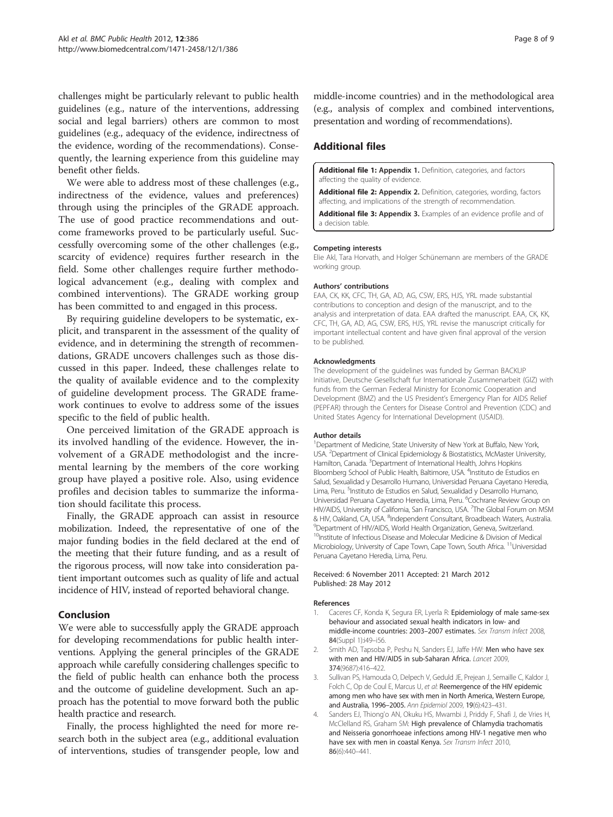<span id="page-7-0"></span>challenges might be particularly relevant to public health guidelines (e.g., nature of the interventions, addressing social and legal barriers) others are common to most guidelines (e.g., adequacy of the evidence, indirectness of the evidence, wording of the recommendations). Consequently, the learning experience from this guideline may benefit other fields.

We were able to address most of these challenges (e.g., indirectness of the evidence, values and preferences) through using the principles of the GRADE approach. The use of good practice recommendations and outcome frameworks proved to be particularly useful. Successfully overcoming some of the other challenges (e.g., scarcity of evidence) requires further research in the field. Some other challenges require further methodological advancement (e.g., dealing with complex and combined interventions). The GRADE working group has been committed to and engaged in this process.

By requiring guideline developers to be systematic, explicit, and transparent in the assessment of the quality of evidence, and in determining the strength of recommendations, GRADE uncovers challenges such as those discussed in this paper. Indeed, these challenges relate to the quality of available evidence and to the complexity of guideline development process. The GRADE framework continues to evolve to address some of the issues specific to the field of public health.

One perceived limitation of the GRADE approach is its involved handling of the evidence. However, the involvement of a GRADE methodologist and the incremental learning by the members of the core working group have played a positive role. Also, using evidence profiles and decision tables to summarize the information should facilitate this process.

Finally, the GRADE approach can assist in resource mobilization. Indeed, the representative of one of the major funding bodies in the field declared at the end of the meeting that their future funding, and as a result of the rigorous process, will now take into consideration patient important outcomes such as quality of life and actual incidence of HIV, instead of reported behavioral change.

#### Conclusion

We were able to successfully apply the GRADE approach for developing recommendations for public health interventions. Applying the general principles of the GRADE approach while carefully considering challenges specific to the field of public health can enhance both the process and the outcome of guideline development. Such an approach has the potential to move forward both the public health practice and research.

Finally, the process highlighted the need for more research both in the subject area (e.g., additional evaluation of interventions, studies of transgender people, low and middle-income countries) and in the methodological area (e.g., analysis of complex and combined interventions, presentation and wording of recommendations).

## Additional files

[Additional file 1:](http://www.biomedcentral.com/content/supplementary/1471-2458-12-386-S1.doc) Appendix 1. Definition, categories, and factors affecting the quality of evidence.

[Additional file 2:](http://www.biomedcentral.com/content/supplementary/1471-2458-12-386-S2.doc) Appendix 2. Definition, categories, wording, factors affecting, and implications of the strength of recommendation.

[Additional file 3:](http://www.biomedcentral.com/content/supplementary/1471-2458-12-386-S3.doc) Appendix 3. Examples of an evidence profile and of a decision table.

#### Competing interests

Elie Akl, Tara Horvath, and Holger Schünemann are members of the GRADE working group.

#### Authors' contributions

EAA, CK, KK, CFC, TH, GA, AD, AG, CSW, ERS, HJS, YRL made substantial contributions to conception and design of the manuscript, and to the analysis and interpretation of data. EAA drafted the manuscript. EAA, CK, KK, CFC, TH, GA, AD, AG, CSW, ERS, HJS, YRL revise the manuscript critically for important intellectual content and have given final approval of the version to be published.

#### Acknowledgments

The development of the guidelines was funded by German BACKUP Initiative, Deutsche Gesellschaft fur Internationale Zusammenarbeit (GIZ) with funds from the German Federal Ministry for Economic Cooperation and Development (BMZ) and the US President's Emergency Plan for AIDS Relief (PEPFAR) through the Centers for Disease Control and Prevention (CDC) and United States Agency for International Development (USAID).

#### Author details

<sup>1</sup> Department of Medicine, State University of New York at Buffalo, New York, USA. <sup>2</sup>Department of Clinical Epidemiology & Biostatistics, McMaster University, Hamilton, Canada. <sup>3</sup>Department of International Health, Johns Hopkins Bloomberg School of Public Health, Baltimore, USA. <sup>4</sup>Instituto de Estudios en Salud, Sexualidad y Desarrollo Humano, Universidad Peruana Cayetano Heredia, Lima, Peru. <sup>5</sup>Instituto de Estudios en Salud, Sexualidad y Desarrollo Humano Universidad Peruana Cayetano Heredia, Lima, Peru. <sup>6</sup>Cochrane Review Group on HIV/AIDS, University of California, San Francisco, USA. <sup>7</sup>The Global Forum on MSM & HIV, Oakland, CA, USA. <sup>8</sup>Independent Consultant, Broadbeach Waters, Australia.<br><sup>9</sup>Denartment of HIV/AIDS, World Health Organization, Geneva, Switzerland. <sup>9</sup>Department of HIV/AIDS, World Health Organization, Geneva, Switzerland. <sup>10</sup>Institute of Infectious Disease and Molecular Medicine & Division of Medical Microbiology, University of Cape Town, Cape Town, South Africa. 11Universidad Peruana Cayetano Heredia, Lima, Peru.

#### Received: 6 November 2011 Accepted: 21 March 2012 Published: 28 May 2012

#### References

- 1. Caceres CF, Konda K, Segura ER, Lyerla R: Epidemiology of male same-sex behaviour and associated sexual health indicators in low- and middle-income countries: 2003–2007 estimates. Sex Transm Infect 2008, 84(Suppl 1):i49–i56.
- 2. Smith AD, Tapsoba P, Peshu N, Sanders EJ, Jaffe HW: Men who have sex with men and HIV/AIDS in sub-Saharan Africa. Lancet 2009, 374(9687):416–422.
- 3. Sullivan PS, Hamouda O, Delpech V, Geduld JE, Prejean J, Semaille C, Kaldor J, Folch C, Op de Coul E, Marcus U, et al: Reemergence of the HIV epidemic among men who have sex with men in North America, Western Europe, and Australia, 1996–2005. Ann Epidemiol 2009, 19(6):423–431.
- 4. Sanders EJ, Thiong'o AN, Okuku HS, Mwambi J, Priddy F, Shafi J, de Vries H, McClelland RS, Graham SM: High prevalence of Chlamydia trachomatis and Neisseria gonorrhoeae infections among HIV-1 negative men who have sex with men in coastal Kenya. Sex Transm Infect 2010, 86(6):440–441.